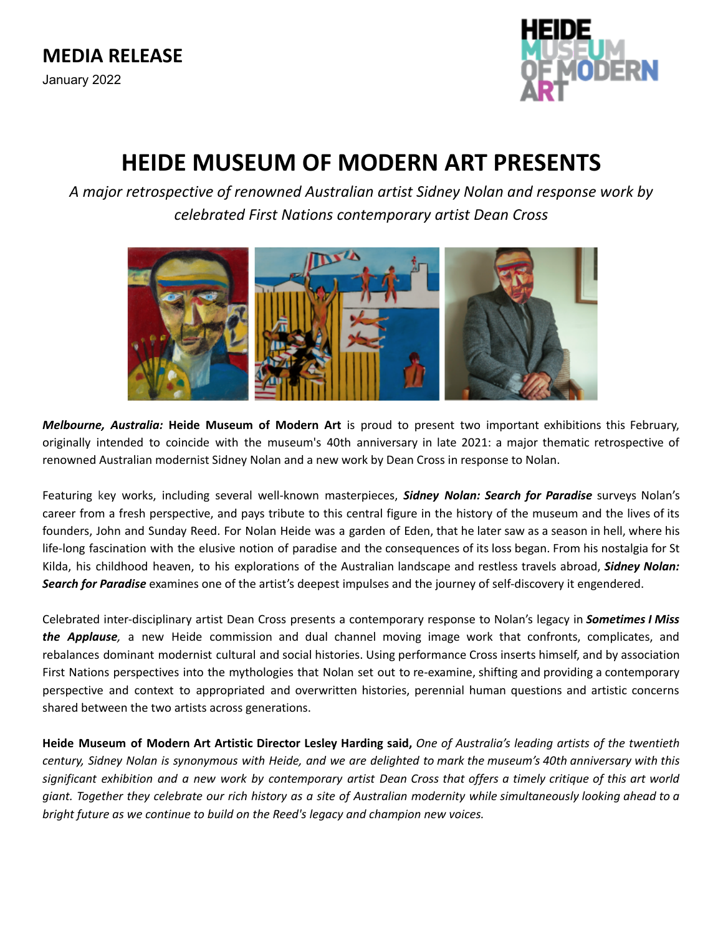

# **HEIDE MUSEUM OF MODERN ART PRESENTS**

*A major retrospective of renowned Australian artist Sidney Nolan and response work by celebrated First Nations contemporary artist Dean Cross*



*Melbourne, Australia:* **Heide Museum of Modern Art** is proud to present two important exhibitions this February, originally intended to coincide with the museum's 40th anniversary in late 2021: a major thematic retrospective of renowned Australian modernist Sidney Nolan and a new work by Dean Cross in response to Nolan.

Featuring key works, including several well-known masterpieces, *Sidney Nolan: Search for Paradise* surveys Nolan's career from a fresh perspective, and pays tribute to this central figure in the history of the museum and the lives of its founders, John and Sunday Reed. For Nolan Heide was a garden of Eden, that he later saw as a season in hell, where his life-long fascination with the elusive notion of paradise and the consequences of its loss began. From his nostalgia for St Kilda, his childhood heaven, to his explorations of the Australian landscape and restless travels abroad, *Sidney Nolan: Search for Paradise* examines one of the artist's deepest impulses and the journey of self-discovery it engendered.

Celebrated inter-disciplinary artist Dean Cross presents a contemporary response to Nolan's legacy in *Sometimes I Miss the Applause,* a new Heide commission and dual channel moving image work that confronts, complicates, and rebalances dominant modernist cultural and social histories. Using performance Cross inserts himself, and by association First Nations perspectives into the mythologies that Nolan set out to re-examine, shifting and providing a contemporary perspective and context to appropriated and overwritten histories, perennial human questions and artistic concerns shared between the two artists across generations.

Heide Museum of Modern Art Artistic Director Lesley Harding said, One of Australia's leading artists of the twentieth century, Sidney Nolan is synonymous with Heide, and we are delighted to mark the museum's 40th anniversary with this significant exhibition and a new work by contemporary artist Dean Cross that offers a timely critique of this art world giant. Together they celebrate our rich history as a site of Australian modernity while simultaneously looking ahead to a *bright future as we continue to build on the Reed's legacy and champion new voices.*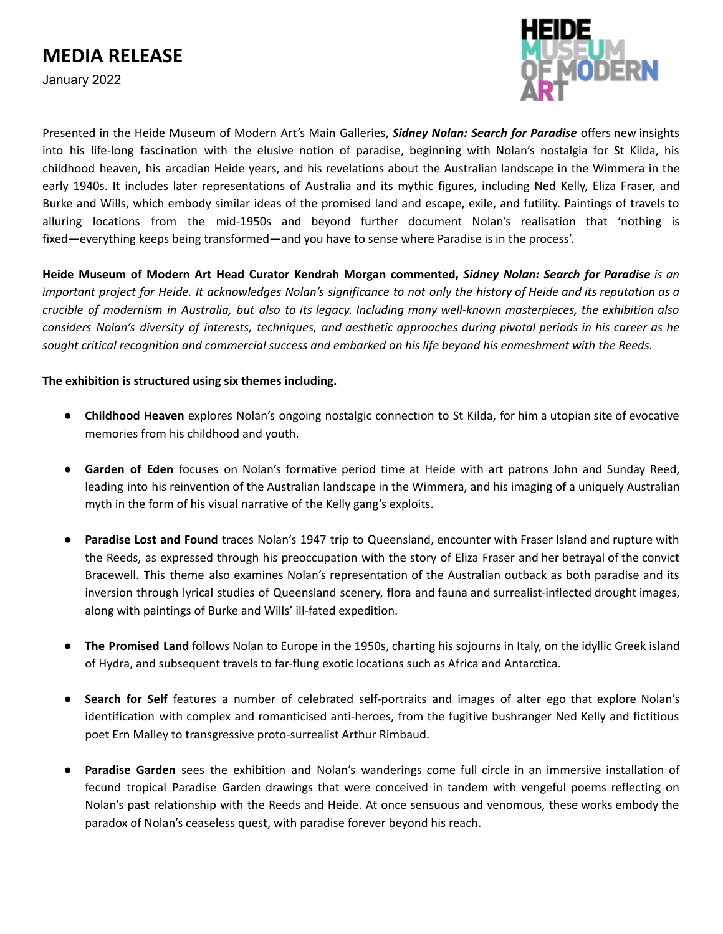January 2022



Presented in the Heide Museum of Modern Art's Main Galleries, *Sidney Nolan: Search for Paradise* offers new insights into his life-long fascination with the elusive notion of paradise, beginning with Nolan's nostalgia for St Kilda, his childhood heaven, his arcadian Heide years, and his revelations about the Australian landscape in the Wimmera in the early 1940s. It includes later representations of Australia and its mythic figures, including Ned Kelly, Eliza Fraser, and Burke and Wills, which embody similar ideas of the promised land and escape, exile, and futility. Paintings of travels to alluring locations from the mid-1950s and beyond further document Nolan's realisation that 'nothing is fixed—everything keeps being transformed—and you have to sense where Paradise is in the process'.

**Heide Museum of Modern Art Head Curator Kendrah Morgan commented,** *Sidney Nolan: Search for Paradise is an* important project for Heide. It acknowledges Nolan's significance to not only the history of Heide and its reputation as a crucible of modernism in Australia, but also to its legacy. Including many well-known masterpieces, the exhibition also considers Nolan's diversity of interests, techniques, and aesthetic approaches during pivotal periods in his career as he sought critical recognition and commercial success and embarked on his life beyond his enmeshment with the Reeds.

#### **The exhibition is structured using six themes including.**

- **Childhood Heaven** explores Nolan's ongoing nostalgic connection to St Kilda, for him a utopian site of evocative memories from his childhood and youth.
- **Garden of Eden** focuses on Nolan's formative period time at Heide with art patrons John and Sunday Reed, leading into his reinvention of the Australian landscape in the Wimmera, and his imaging of a uniquely Australian myth in the form of his visual narrative of the Kelly gang's exploits.
- **Paradise Lost and Found** traces Nolan's 1947 trip to Queensland, encounter with Fraser Island and rupture with the Reeds, as expressed through his preoccupation with the story of Eliza Fraser and her betrayal of the convict Bracewell. This theme also examines Nolan's representation of the Australian outback as both paradise and its inversion through lyrical studies of Queensland scenery, flora and fauna and surrealist-inflected drought images, along with paintings of Burke and Wills' ill-fated expedition.
- **The Promised Land** follows Nolan to Europe in the 1950s, charting his sojourns in Italy, on the idyllic Greek island of Hydra, and subsequent travels to far-flung exotic locations such as Africa and Antarctica.
- Search for Self features a number of celebrated self-portraits and images of alter ego that explore Nolan's identification with complex and romanticised anti-heroes, from the fugitive bushranger Ned Kelly and fictitious poet Ern Malley to transgressive proto-surrealist Arthur Rimbaud.
- **Paradise Garden** sees the exhibition and Nolan's wanderings come full circle in an immersive installation of fecund tropical Paradise Garden drawings that were conceived in tandem with vengeful poems reflecting on Nolan's past relationship with the Reeds and Heide. At once sensuous and venomous, these works embody the paradox of Nolan's ceaseless quest, with paradise forever beyond his reach.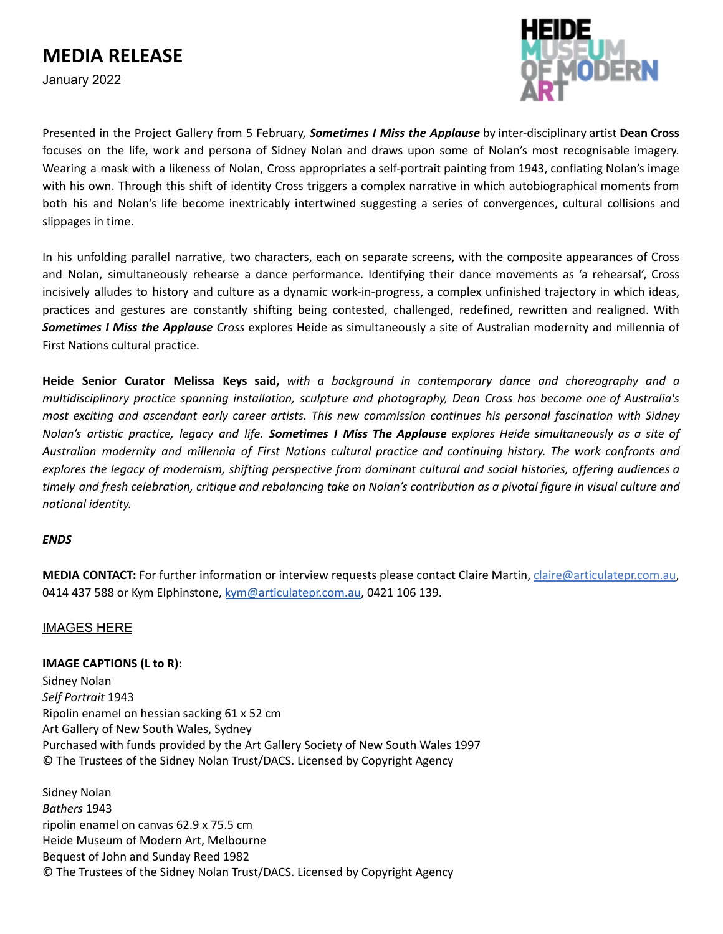### **MEDIA RELEASE**

January 2022



Presented in the Project Gallery from 5 February, *Sometimes I Miss the Applause* by inter-disciplinary artist **Dean Cross** focuses on the life, work and persona of Sidney Nolan and draws upon some of Nolan's most recognisable imagery. Wearing a mask with a likeness of Nolan, Cross appropriates a self-portrait painting from 1943, conflating Nolan's image with his own. Through this shift of identity Cross triggers a complex narrative in which autobiographical moments from both his and Nolan's life become inextricably intertwined suggesting a series of convergences, cultural collisions and slippages in time.

In his unfolding parallel narrative, two characters, each on separate screens, with the composite appearances of Cross and Nolan, simultaneously rehearse a dance performance. Identifying their dance movements as 'a rehearsal', Cross incisively alludes to history and culture as a dynamic work-in-progress, a complex unfinished trajectory in which ideas, practices and gestures are constantly shifting being contested, challenged, redefined, rewritten and realigned. With *Sometimes I Miss the Applause Cross* explores Heide as simultaneously a site of Australian modernity and millennia of First Nations cultural practice.

**Heide Senior Curator Melissa Keys said,** *with a background in contemporary dance and choreography and a multidisciplinary practice spanning installation, sculpture and photography, Dean Cross has become one of Australia's* most exciting and ascendant early career artists. This new commission continues his personal fascination with Sidney Nolan's artistic practice, legacy and life. Sometimes I Miss The Applause explores Heide simultaneously as a site of Australian modernity and millennia of First Nations cultural practice and continuing history. The work confronts and explores the legacy of modernism, shifting perspective from dominant cultural and social histories, offering audiences a timely and fresh celebration, critique and rebalancing take on Nolan's contribution as a pivotal figure in visual culture and *national identity.*

#### *ENDS*

**MEDIA CONTACT:** For further information or interview requests please contact Claire Martin, [claire@articulatepr.com.au,](mailto:claire@articulatepr.com.au) 0414 437 588 or Kym Elphinstone, [kym@articulatepr.com.au,](mailto:kym@articulatepr.com.au) 0421 106 139.

#### [IMAGES](https://www.dropbox.com/sh/1aunuyn7ys880zv/AAD4aVMcFHp44Gq2g8l4bEyxa?dl=0) HERE

**IMAGE CAPTIONS (L to R):** Sidney Nolan *Self Portrait* 1943 Ripolin enamel on hessian sacking 61 x 52 cm Art Gallery of New South Wales, Sydney Purchased with funds provided by the Art Gallery Society of New South Wales 1997 © The Trustees of the Sidney Nolan Trust/DACS. Licensed by Copyright Agency

Sidney Nolan *Bathers* 1943 ripolin enamel on canvas 62.9 x 75.5 cm Heide Museum of Modern Art, Melbourne Bequest of John and Sunday Reed 1982 © The Trustees of the Sidney Nolan Trust/DACS. Licensed by Copyright Agency